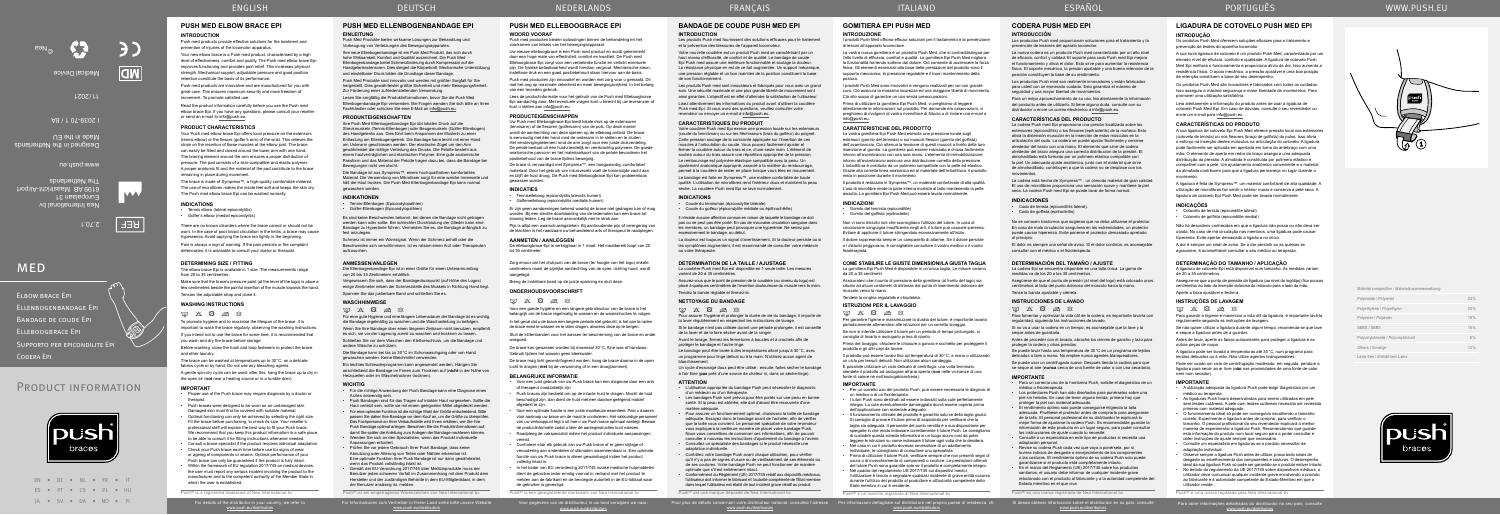EN • DE • NL • FR • IT ES • PT • CS • PL • HU

push braces

Voor gegevens van de distributeur in uw land verwijzen we naar: www.push.eu/distributors

Para obter informações detalhadas do distribuidor no seu país, consulte www.push.eu/distributors

 $\boxtimes$   $\boxtimes$   $\boxtimes$   $\boxtimes$ Pour assurer l'hygiène et prolonger la durée de vie du bandage, il importe de la laver régulièrement en respectant les instructions de lavage.

## **DETERMINATION DE LA TAILLE / AJUSTAGE**

La coudière Push med Epi est disponible en 1 seule taille. Les mesures varient de 20 à 35 centimètres.

Assurez-vous que le point de pression de la coudière (au niveau du logo) est

placé à quelques centimètres de l'insertion douloureuse du muscle vers la main. Tendez la bande réglable et fermez-la.

## **NETTOYAGE DU BANDAGE**

Si le bandage n'est pas utilisée durant une période prolongée, il est conseillé

de la laver et de la faire sécher avant de la ranger. Avant le lavage, fermez les fermetures à boucles et à crochets afin de

protéger le bandage et l'autre linge.

Le bandage peut être lavée à des températures allant jusqu'à 30°C, avec

un programme pour linge délicat ou à la main. N'utilisez aucun agent de blanchissement.

à l'air libre (**pas** près d'une source de chaleur ni, dans un sèche-linge).

• L'utilisation appropriée du bandage Push peut nécessiter le diagnostic d'un médecin ou d'un thérapeute.

adaptation individuell

- Les bandages Push sont prévus pour être portés sur une peau en bonne santé. Si la peau est abîmée, elle doit d'abord être recouverte d'une
- Pour assurer un fonctionnement optimal, choisissez la taille de bandage adéquate. Essayez donc le bandage avant de l'acheter, afin de vérifier que la taille vous convient. Le personnel spécialisé de votre revendeur vous expliquera la meilleure manière de placer votre bandage Push. Nous vous conseillons de conserver ces informations, afin de pouvoir consulter à nouveau les instructions d'ajustement du bandage à l'avenir. • Consultez un spécialiste des bandages si le produit nécessite une
- Contrôlez votre bandage Push avant chaque utilisation, pour vérifier qu'il n'y a pas de signes d'usure ou de vieillissement de ses éléments ou de ses coutures. Votre bandage Push ne peut fonctionner de manière optimale que s'il est entièrement intact.

Push med products provide effective solutions for the treatment and prevention of injuries of the locomotor apparatus.

> • Conformément au Règlement (UE) 2017/745 relatif aux dispositifs médicaux, l'utilisateur doit informer le fabricant et l'autorité compétente de l'État membre dans lequel l'utilisateur est établi de tout incident grave relatif au produit.

Push® est une marque déposée de Nea International bv

Pour plus de détails concernant votre distributeur national, consultez l'adresse Per informazioni dettagliate sul distributore nel proprio paese di residenza, cfr.<br>www.push.eu/distributors www.push.eu/distributors www.push

## **ANMESSEN/ANLEGEN**

Die Ellenbogenbandage Epi ist in einer Größe für einen Unterarmumfang von 20 bis 35 Zentimetern erhältlich.

Vergewissern Sie sich, dass der Bandagedruckpunkt (auf Höhe des Logos) einige Zentimeter neben der Schmerzstelle des Muskels in Richtung Hand liegt. Spannen Sie das justierbare Band und schließen Sie es.

The brace is made of Sympress™, a high-quality comfortable material. The use of microfibres makes the inside feel soft and keeps the skin dry. The Push med elbow brace Epi can be washed normally

## **WASCHHINWEISE**

 $m \times R \approx R$ 

Für eine gute Hygiene und eine längere Lebensdauer der Bandage ist es wichtig, die Bandage regelmäßig zu waschen und die Waschanleitung zu befolgen. Wenn Sie Ihre Bandage über einen längeren Zeitraum nicht benutzen, empfiehlt

es sich, sie vor der Lagerung zuerst zu waschen und trocknen zu lassen. Schließen Sie vor dem Waschen den Klettverschluss, um die Bandage und andere Wäsche zu schützen.

Die Bandage kann bei bis zu 30°C im Schonwaschgang oder von Hand gewaschen werden. Keine Bleichmittel verwenden.

Ein leichtes Schleuderprogramm kann angewendet werden. Hängen Sie anschließend die Bandage im Freien zum Trocknen auf (**nicht** in der Nähe von Heizquellen oder im Wäschetrockner trocknen).

## **WICHTIG**

- Für die richtige Anwendung der Push Bandage kann eine Diagnose eines Arztes notwendig sein.
- Push Bandagen sind für das Tragen auf intakter Haut vorgesehen. Sollte die Haut verletzt sein, sollte sie mit einem geeigneten Mittel abgedeckt werden.
- Für eine optimale Funktion ist die richtige Wahl der Größe entscheidend. Bitte passen Sie daher Ihre Bandage vor dem Kauf an, um die Größe zu überprüfen. Das Fachpersonal an Ihrer Verkaufsstelle wird Ihnen erklären, wie Sie Ihre Push Bandage optimal anlegen. Bewahren Sie die Produktinformationen auf, damit Sie später die Anleitung zum Anlegen der Bandage nachlesen können.
- Wenden Sie sich an den Spezialisten, wenn das Produkt individuelle Anpassungen erfordert. • Prüfen Sie vor jedem Gebrauch Ihrer Push Bandage, dass keine
- Abnutzung oder Alterung von Teilen oder Nähten erkennbar ist. Eine optimale Funktion Ihrer Push Bandage ist nur dann gewährleistet, wenn das Produkt vollständig intakt ist.
- Gemäß der EU-Verordnung 2017/745 über Medizinprodukte muss der Benutzer jeden schweren Vorfall im Zusammenhang mit dem Produkt dem Hersteller und der zuständigen Behörde in dem EU-Mitgliedstaat, in dem der Benutzer ansässig ist, melden.

Push® ist ein eingetragenes Warenzeichen von Nea International bv

-<br>Für Informationen zum Vertreiber in Ihrem Land siehe bitte unsere Websit www.push.eu/distributors

Elbow brace Epi

Ellenbogenbandage Epi Bandage de coude Epi Elleboogbrace Epi

Supporto per epicondilite Epi

Codera Epi

## **PUSH MED ELBOW BRACE EPI INTRODUCTION**

Your new elbow brace is a Push med product, characterised by a high level of effectiveness, comfort and quality. The Push med elbow brace Epi improves functioning and provides pain relief. This increases physical strength. Mechanical support, adjustable pressure and good position retention constitute the basis of its performance.

Push med products are innovative and are manufactured for you with great care. This ensures maximum security and more freedom of movement. To promote satisfied use.

Read the product information carefully before you use the Push med elbow brace Epi. If you have any questions, please consult your reseller or send an e-mail to info@push.eu.

## **PRODUCT CHARACTERISTICS**

Your Push med elbow brace Epi offers local pressure on the extensors (tennis elbow) or the flexors (golfer's arm) of the wrist. This relieves the strain on the insertion of these muscles at the elbow joint. The brace can easily be fitted and closed around the lower arm with one hand. The bracing element around the arm ensures a proper distribution of pressure. The pad consists of a skin-compatible and elastic polymer. A proper anatomic fit and the material of the pad contribute to the brace remaining in place during movement.

## **INDICATIONS**

**ONDERHOUDSVOORSCHRIFT**  $m \times \boxtimes \approx \approx$ 

- Tennis elbow (lateral epicondylitis) • Golfer's elbow (medial epicondylitis)
- There are no known disorders where the brace cannot or should not be worn. In the case of poor blood circulation in the limbs, a brace may cause hyperaemia. Avoid applying the brace too tightly in the beginning.

Pain is always a sign of warning. If the pain persists or the complaint deteriorates, it is advisable to consult your doctor or therapist.

## **DETERMINING SIZE / FITTING**

The elbow brace Epi is available in 1 size. The measurements range from 20 to 35 centimetres.

Make sure that the brace's pressure point (at the level of the logo) is place a few centimetres beside the painful insertion of the muscle towards the hand. Tension the adjustable strap and close it.

## **WASHING INSTRUCTIONS**

## $\boxtimes$   $\boxtimes$   $\boxtimes$   $\boxtimes$

To promote hygiene and to maximise the lifespan of the brace, it is important to wash the brace regularly, observing the washing instructions.

If you intend not to use the brace for some time, it is recommended that you wash and dry the brace before storage. Before washing, close the hook and loop fasteners to protect the brace

and other laundry.

Un cycle d'essorage doux peut être utilisé : ensuite, faites sécher le bandage De brace mag licht gecentrifugeerd worden: hang de brace daarna in de open

The brace can be washed at temperatures up to 30°C, on a delicate fabrics cycle or by hand. Do not use any bleaching agents. A gentle spin-dry cycle can be used: after this, hang the brace up to dry in

**ATTENTION** • Voor een juist gebruik van uw Push brace kan een diagnose door een arts

the open air (**not** near a heating source or in a tumble drier).

## **IMPORTANT**

PRODUCT INFORMATION

Votre coudière Push med Epi exerce une pression locale sur les extenseurs (coude du tennisman) ou sur les fléchisseurs (bras du golfeur) du poignet. Cette pression soulage de la contrainte appliquée sur l'insertion de ces muscles à l'articulation du coude. Vous pouvez facilement ajuster et fermer la coudière autour du bras et ce, d'une seule main. L'élément de soutien autour du bras assure une répartition appropriée de la pression. Le rembourrage est polymère élastique compatible avec la peau. Un ajustement anatomique approprié, associé à la matière du rembourrage, permet à la coudière de rester en place lorsque vous êtes en mouvement

- matière adéquate. • Push braces zijn bedoeld om op de intacte huid te dragen. Mocht de huid beschadigd zijn, dan dient de huid met een daartoe geëigend middel afgedekt te zijn.
- Voor een optimale functie is een juiste maatkeuze essentieel. Past u daarom vóór aankoop uw brace om de maat te controleren. Het vakkundige personeel van uw verkooppunt legt u uit hoe u uw Push brace optimaal aanlegt. Bewaar de productinformatie zodat u later de aanleginstructies kunt nalezen.
- Raadpleeg de vakspecialist indien het product individuele aanpassingen vereist.
- Proper use of the Push brace may require diagnosis by a doctor or therapist
- Push braces were designed to be worn on an undamaged skin. Damaged skin must first be covered with suitable material. • Optimal functioning can only be achieved by selecting the right size.
- Fit the brace before purchasing, to check its size. Your reseller's professional staff will explain the best way to fit your Push brace.
- We recommend that you keep this product information in a safe place, to be able to consult it for fitting instructions whenever needed.
- Consult a brace specialist if the product requires individual adaptation. • Check your Push brace each time before use for signs of wear
- or ageing of components or seams. Optimal performance of your Push brace can only be guaranteed if the product is fully intact. • Within the framework of EU regulation 2017/745 on medical devices,
- the user must report any serious incident involving the product to the manufacturer and to the competent authority of the Member State in which the user is established.

Push® is a registered trademark of Nea International bv

JA • SV • DA • NO • FI For details of the distributor in your country, we refer to prove the state of the distributors were fer to

# **PUSH MED ELLENBOGENBANDAGE EPI**

## **EINLEITUNG**

Push Med Produkte bieten wirksame Lösungen zur Behandlung und Vorbeugung von Verletzungen des Bewegungsapparates. Ihre neue Ellenbogenbandage ist ein Push Med Produkt, das sich durch hohe Wirksamkeit, Komfort und Qualität auszeichnet. Die Push Med Ellenbogenbandage bietet Schmerzlinderung durch Kompression auf die Handgelenkextensoren. Dies steigert die Körperkraft. Mechanische Unterstützung und einstellbarer Druck bilden die Grundlage dieser Bandage.

Push Med Produkte sind innovativ und werden mit größter Sorgfalt für Sie hergestellt. Dies gewährleistet größte Sicherheit und mehr Bewegungsfreiheit. Zur Förderung einer zufriedenstellenden Verwendung.

> • Gomito del tennista (epicondilite) Gomito del golfista (epitrocleite)

Lesen Sie sorgfältig die Produktinformationen, bevor Sie die Push Med Ellenbogenbandage Epi verwenden. Bei Fragen wenden Sie sich bitte an Ihren Fachhändler oder schicken Sie eine E-Mail an info@push.eu.

## **PRODUKTEIGENSCHAFTEN**

Assicuratevi che il punto di pressione della gomitiera (al livello del logo) sia situato ad alcuni centimetri di distanza dal punto di inserimento doloroso del luscolo verso la mano.

 $\boxtimes$   $\boxtimes$   $\boxtimes$   $\boxtimes$ Per garantire l'igiene e massimizzare la durata del tutore, è importante lavarla periodicamente attenendosi alle istruzioni per un corretto lavaggio.

Ihre Push Med Ellenbogenbandage Epi übt lokalen Druck auf die Streckmuskeln (Tennis-Ellenbogen) oder Beugemuskeln (Golfer-Ellenbogen) des Handgelenks aus. Dies führt beim Anspannen der Muskeln zu einer Entlastung am Ellenbogengelenk. Die Bandage kann leicht mit einer Hand am Unterarm geschlossen werden. Der elastische Zügel um den Arm gewährleistet die richtige Verteilung des Drucks. Die Pelotte besteht aus einem hautverträglichen und elastischen Polymer. Eine gute anatomische Passform und das Material der Pelotte tragen dazu bei, dass die Bandage bei Bewegungen nicht verrutscht.

- Per un corretto uso del prodotto Push, può essere necessaria la diagnosi di un medico o di un fisioterapista. • I tutori Push sono destinati ad essere indossati sulla cute perfettamente
- integra. La cute eventualmente danneggiata dovrà essere coperta prima dell'applicazione con materiale adeguato. • Il funzionamento ottimale del prodotto è garantito solo se della taglia giusta.
- Si consiglia di provare il tutore prima di acquistarlo per verificare che la taglia sia adeguata. Il personale del punto vendita è a sua disposizione per spiegarle in che modo indossare correttamente il tutore Push. Le consigliamo di custodire questa scheda informativa in un luogo sicuro così da poter leggere le istruzioni su come indossare il tutore ogni volta che lo desidera.
- Nel caso in cui il prodotto dovesse necessitare di un adattamento individuale, le consigliamo di consultare uno specialista. • Prima di utilizzare il tutore Push, verificare sempre che non presenti segni di
- usura o di invecchiamento di componenti o cuciture. Le prestazioni ottimali del tutore Push sono garantite solo se il prodotto è completamente integro. • Nel quadro del regolamento UE 2017/745 sui dispositivi medici, l'utilizzatore è tenuto a segnalare qualsiasi incidente di grave entità occorso
- durante l'utilizzo del prodotto al produttore e all'autorità competente dello Stato membro in cui è residente.  $\mathbb{B}$  è un marchio registrato di Nea International b

Die Bandage ist aus Sympress™, einem hochqualitativen komfortablen Material. Die Verwendung von Mikrofaser sorgt für eine weiche Innenseite und hält die Haut trocken. Die Push Med Ellenbogenbandage Epi kann normal gewaschen werden.

## **INDIKATIONEN**

• Tennis-Ellenbogen (Epicondylopathien) • Golfer-Ellenbogen (Epicondylopathien)

Es sind keine Beschwerden bekannt, bei denen die Bandage nicht getragen werden kann oder sollte. Bei schlechter Durchblutung der Glieder kann eine Bandage zu Hyperämie führen. Vermeiden Sie es, die Bandage anfänglich zu fest anzulegen.

Schmerz ist immer ein Warnsignal. Wenn der Schmerz anhält oder die Beschwerden sich verschlimmern, ist es ratsam einen Arzt oder Therapeuten aufzusuchen.

## **CODERA PUSH MED EPI INTRODUCCIÓN**

**PUSH MED ELLEBOOGBRACE EPI**

**WOORD VOORAF**

Push med producten bieden oplossingen binnen de behandeling en het

voorkomen van letsels van het bewegingsapparaat.

Los productos Push med son realmente innovadores y están fabricados para usted con un esmerado cuidado. Esto garantiza el máximo de seguridad y una mayor libertad de movimiento.

Uw nieuwe elleboogbrace is een Push med product en wordt gekenmerkt door een hoge mate van effectiviteit, comfort en kwaliteit. De Push med Elleboogbrace Epi zorgt voor een verbeterde functie en verlicht eventuele pijn. De fysieke belastbaarheid wordt hierdoor vergroot. Mechanische steun, instelbare druk en een goed positiebehoud staan hiervoor aan de basis. Push med producten zijn innovatief en worden met zorg voor u gemaakt. Dit met het oog op maximale zekerheid en meer bewegingsvrijheid. In het belang

van een tevreden gebruik.

- Codo de tenista (epicondilitis lateral).
- Codo de golfista (epitrocleítis)

kunt u stellen aan info@push.eu. **PRODUCTEIGENSCHAPPEN**

Uw Push med Elleboogbrace Epi biedt lokale druk op de extensoren (tennisarm) of de flexoren (golfersarm) van de pols. Op deze manier wordt de aanhechting van deze spieren op de elleboog ontlast. De brace is eenvoudig met één hand rond de onderarm in te stellen en te sluiten. Het verstevigingselement rond de arm zorgt voor een juiste drukverdeling. De pelote bestaat uit een huidvriendelijk en veerkrachtig polymeer. De goede anatomische pasvorm en het materiaalsoort van de pelote bevorderen het

> Si no va a usar la codera en un tiempo, es aconsejable que la lave y la seque antes de guardarla.

positiebehoud van de brace tijdens beweging.

De brace is vervaardigd met Sympress™, een hoogwaardig, comfortabel materiaal. Door het gebruik van microvezels voelt de binnenzijde zacht aan en blijft de huid droog. De Push med Elleboogbrace Epi kan probleemloos

gewassen worden. **INDICATIES**

> • Tenniselleboog (epicondylitis lateralis humeri) • Golferselleboog (epicondylitis medialis humeri)

worden. Bij een slechte doorbloeding van de ledematen kan een brace tot stuwing leiden. Leg de brace aanvankelijk niet te strak aan.

Pijn is altijd een waarschuwingsteken. Bij aanhoudende pijn of verergering van de klachten is het raadzaam uw behandelend arts of therapeut te raadplegen.

**AANMETEN / AANLEGGEN**

De elleboogbrace Epi is verkrijgbaar in 1 maat. Het maatbereik loopt van 20

tot 35 centimeter.

Zorg ervoor dat het drukpunt van de brace (ter hoogte van het logo) enkele centimeters naast de pijnlijke aanhechting van de spier, richting hand, wordt

aangelegd.

Breng de instelbare band op de juiste spanning en sluit deze.

Voor een goede hygiëne en een langere gebruiksduur van de brace is het belangrijk om de brace regelmatig te wassen en de wasinstructies te volgen. In het geval dat u de brace een langere periode niet gebruikt, is het aan te raden de brace eerst te wassen en te laten drogen, alvorens deze op te bergen. Sluit de klittenbanden voor het wassen ter bescherming van de brace en ander

wasgoed.

De brace kan gewassen worden bij maximaal 30°C, fijne was of handwas.

Lees de productinformatie voor het gebruik van de Push med Elleboogbrace Epi aandachtig door. Met eventuele vragen kunt u terecht bij uw leverancier of Lisez attentivement les informations du produit avant d'utiliser la coudière

Gebruik tijdens het wassen geen bleekwater.

lucht te drogen (**niet** bij de verwarming of in een droogtrommel).

**BELANGRIJKE INFORMATIE**

of therapeut noodzakelijk zijn.

Aperte a faixa ajustável e feche-a. **INSTRUÇÕES DE LAVAGEM**  $\boxtimes$   $\boxtimes$   $\boxtimes$   $\boxtimes$ 

Er zijn geen aandoeningen bekend waarbij de brace niet gedragen kan of mag • Coude du tennisman (épicondylite latérale) • Coude du golfeur (épicondylite médiale ou épithrochléïte)

- Controleer vóór elk gebruik van uw Push brace of er geen slijtage of veroudering aan onderdelen of stiknaden waarneembaar is. Een optimale functie van uw Push brace is alleen gewaarborgd indien het product volledig intact is.
- In het kader van EU verordening 2017/745 inzake medische hulpmiddelen dient de gebruiker ieder ernstig voorval in verband met het product te melden aan de fabrikant en de bevoegde autoriteit in de EU-lidstaat waar de gebruiker is gevestigd.

Push® is een geregistreerde merknaam van Nea International bv

# **BANDAGE DE COUDE PUSH MED EPI**

# **INTRODUCTION**

Les produits Push med fournissent des solutions efficaces pour le traitement

Others / Sonstige Latex free / *Enthält kein Latex* 

et la prévention des blessures de l'appareil locomoteur. Votre nouvelle coudière est un produit Push med se caractérisant par un haut niveau d'efficacité, de confort et de qualité. Le bandage de coude Epi Push med assure une meilleure fonctionnalité et soulage la douleur. La résistance physique en est de ce fait augmentée. Un support mécanique, une pression réglable et un bon maintien de la position constituent la base de son fonctionnement.

Les produits Push med sont innovateurs et fabriqués pour vous avec un grand soin. Une sécurité maximale et une plus grande liberté de mouvement sont ainsi garanties. L'objectif est en effet d'atteindre la satisfaction de l'utilisateur.

Push med Epi. Si vous avez des questions, veuillez consulter votre revendeur ou envoyer un e-mail à info@push.eu.

## **CARACTERISTIQUES DU PRODUIT**

Le bandage est faite en Sympress™, une matière confortable de haute qualité. L'utilisation de microfibres rend l'intérieur doux et maintient la peau sèche. La coudière Push med Epi se lave normalement.

## **INDICATIONS**

Il n'existe aucune affection connue en raison de laquelle le bandage ne doit pas ou ne peut pas être porté. En cas de mauvaise circulation sanguine dans les membres, un bandage peut provoquer une hyperémie. Ne serrez pas excessivement le bandage, au début.

La douleur est toujours un signal d'avertissement. Si la douleur persiste ou si les symptômes augmentent, il est recommandé de consulter votre médecin ou votre thérapeute.

## **GOMITIERA EPI PUSH MED INTRODUZIONE**

I prodotti Push Med offrono efficaci soluzioni per il trattamento e la prevenzione di lesioni all'apparato locomotore.

La vostra nuova gomitiera è un prodotto Push Med, che si contraddistingue per l'alto livello di efficacia, comfort e qualità. La gomitiera Epi Push Med migliora la funzionalità fornendo sollievo dal dolore. Ciò consente di accrescere la forza fisica. Gli elementi essenziali alla base delle prestazioni del prodotto sono il supporto meccanico, la pressione regolabile e il buon mantenimento della postura.

I prodotti Push Med sono innovativi e vengono realizzati per voi con grande cura. Ciò assicura la massima sicurezza ed una maggiore libertà di movimento. Ciò allo scopo di garantire un uso senza preoccupazioni.

Prima di utilizzare la gomitiera Epi Push Med, vi preghiamo di leggere attentamente le informazioni sul prodotto. Per domande e/o osservazioni, vi preghiamo di rivolgervi al vostro rivenditore di fiducia o di inviare una e-mail a info@push.eu.

#### **CARATTERISTICHE DEL PRODOTTO**

La vostra gomitiera Epi Push Med esercita una pressione locale sugli estensori (gomito del tennista) o sui muscoli flessori (gomito del golfista) dell'avambraccio. Ciò attenua la tensione di questi muscoli a livello della loro inserzione al gomito. La gomitiera può essere indossata e chiusa facilmente intorno all'avambraccio con una sola mano. L'elemento di immobilizzazione intorno all'avambraccio assicura una distribuzione corretta della pressione. L'imbottitura è costituita da un polimero compatibile con la pelle ed elastico. Grazie alla corretta linea anatomica ed al materiale dell'imbottitura, il prodotto resta in posizione durante il movimento.

Il prodotto è realizzato in Sympress™, un materiale confortevole di alta qualità. L'uso di microfibre rende la parte interna morbida al tatto mantenendo la pelle asciutta. La gomitiera Epi Push Med può essere lavata normalmente.

#### **INDICAZIONI**

Non vi sono disturbi noti che sconsigliano l'utilizzo del tutore. In caso di circolazione sanguigna insufficiente negli arti, il tutore può causare iperemia. Evitare di applicare il tutore stringendolo eccessivamente all'inizio.

Il dolore rappresenta sempre un campanello di allarme. Se il dolore persiste o i disturbi peggiorano, è consigliabile consultare il vostro medico o il vostro fisioterapista.

## **COME STABILIRE LE GIUSTE DIMENSIONI/LA GIUSTA TAGLIA**

La gomitiera Epi Push Med è disponibile in un'unica taglia. Le misure variano da 20 a 35 centimetri.

Tendete la cinghia regolabile e chiudetela.

## **ISTRUZIONI PER IL LAVAGGIO**

Se non si intende utilizzare il tutore per un periodo di tempo prolungato, si consiglia di lavarlo e asciugarlo prima di riporlo.

Prima del lavaggio, chiudere le chiusure a gancio e occhiello per proteggere il prodotto e gli altri capi da lavare.

Il prodotto può essere lavato fino ad temperatura di 30°C, a mano o utilizzando un ciclo per tessuti delicati. Non utilizzare alcun candeggio.

È possibile utilizzare un ciclo delicato di centrifuga: una volta terminato, stendete il prodotto ad asciugare all'aria aperta (**non** nelle vicinanze di una fonte di calore né nell'asciugabiancheria).

#### **IMPORTANTE**

## Los productos Push med proporcionan soluciones para el tratamiento y la prevención de lesiones del aparato locomotor.

La nueva codera es un producto Push med caracterizado por un alto nivel de eficacia, confort y calidad. El soporte para codo Push med Epi mejora el funcionamiento y alivia el dolor. Esto sirve para aumentar la resistencia física. El soporte mecánico, la presión ajustable y una buena retención de la posición constituyen la base de su rendimiento.

Para un mejor aprovechamiento de su uso, lea atentamente la información del producto antes de utilizarlo. Si tiene alguna duda, consulte con su distribuidor o envíe un correo electrónico a info@push.eu.

## **CARACTERÍSTICAS DEL PRODUCTO**

La codera Push med Epi proporciona una presión localizada sobre los extensores (epicondilitis) o los flexores (epitrocleítis) de la muñeca. Esto alivia la distensión muscular en la inserción de estos músculos en la articulación del codo. La codera se puede ajustar fácilmente y cerrarse alrededor del brazo con una mano. El elemento que sirve de codera alrededor del brazo asegura una correcta distribución de la presión. El almohadillado está formado por un polimero elástico compatible con la piel. Un adecuado ajuste anatómico, junto con el material que sirve de almohadillado, contribuyen a que la codera no se desplace con los movimientos.

La codera está hecha de Sympress™ , un cómodo material de gran calidad. El uso de microfibras proporciona una sensación suave y mantiene la piel seca. La codera Push med Epi se puede lavar de forma normal.

## **INDICACIONES**

No se conocen trastornos que sugieran que no deba utilizarse el protector. En caso de mala circulación sanguínea en las extremidades, un protector puede causar hiperemia. Evite ponerse el protector demasiado apretado al principio.

El dolor es siempre una señal de aviso. Si el dolor continúa, es aconsejable consultar con el médico o el fisioterapeuta.

#### **DETERMINACIÓN DEL TAMAÑO / AJUSTE**

La codera Epi se encuentra disponible en una talla única. La gama de medidas va de los 20 a los 35 centímetros.

Asegúrese de que el punto de presión (al nivel del logo) está colocado unos centímetros al lado del punto doloroso del músculo hacia la mano. Tense la banda ajustable y ciérrela.

**INSTRUCCIONES DE LAVADO**

## $\boxtimes$   $\boxtimes$   $\boxtimes$   $\boxtimes$

Para fomentar y optimizar la vida útil de la codera, es importante lavarla con regularidad, siguiendo las instrucciones de lavado.

Antes de proceder con el lavado, abroche los cierres de gancho y lazo para proteger la codera y otras prendas.

Se puede lavar hasta una temperatura de 30°C en un programa de tejidos delicados o bien a mano. No emplee nunca agentes blanqueadores.

Se puede usar un centrifugado suave. Después tienda la codera para que se seque al aire (**nunca** cerca de una fuente de calor o con una secadora).

#### **IMPORTANTE**

• Para un correcto uso de la hombrera Push, solicite el diagnóstico de un médico o fisioterapeuta.

- Los protectores Push han sido diseñados para ponérselos sobre una piel sin heridas. En caso de tener alguna herida, primero hay que proteger la piel con material adecuado.
- El rendimiento óptimo solo puede conseguirse eligiendo la talla adecuada. Pruébese el protector antes de comprarlo para asegurarse de la talla. El personal profesional de su distribuidor le explicará la mejor forma de ajustarse la codera Push. Es recomendable guardar la información de este producto en un lugar seguro, para poder consultar las instrucciones de ajuste cuando lo necesite.
- Consulte a un especialista en este tipo de productos si necesita una adaptación personal.
- Revise su codera Push cada vez que vaya a ponérsela, por si tuviera indicios de desgaste o envejecimiento de los componentes o las costuras. El rendimiento óptimo de su codera Push solo puede garantizarse si el producto está completamente intacto.
- En el marco del Reglamento (UE) 2017/745 sobre los productos sanitarios, el usuario debe informar de cualquier incidente grave relacionado con el producto al fabricante y a la autoridad competente del Estado miembro en el que viva.

Push® es una marca registrada de Nea International bv

Si desea obtener información sobre el distribuidor en su país, consulte<br>www.push.eu/distributors

## **LIGADURA DE COTOVELO PUSH MED EPI INTRODUÇÃO**

Os produtos Push Med oferecem soluções eficazes para o tratamento e prevenção de lesões do aparelho locomotor.

A sua nova ligadura de cotovelo é um produto Push Med, caracterizado por um elevado nível de eficácia, conforto e qualidade. A ligadura de cotovelo Push Med Epi melhora o funcionamento e proporciona alívio da dor. Isso aumenta a resistência física. O apoio mecânico, a pressão ajustável e uma boa posição de retenção constituem a base do seu desempenho.

Os produtos Push Med são inovadores e fabricados com todos os cuidados. Isso assegura a máxima segurança e maior liberdade de movimentos. Para promover uma utilização satisfatória.

Leia atentamente a informação do produto antes de usar a ligadura de cotovelo Push Med Epi. Em caso de dúvidas, consulte o seu revendedor ou envie um e-mail para info@push.eu.

#### **CARACTERÍSTICAS DO PRODUTO**

A sua ligadura de cotovelo Epi Push Med oferece pressão local nos extensores (cotovelo de tenista) ou nos flexores (braço de golfista) do pulso. Isso alivia o esforço na inserção destes músculos na articulação do cotovelo. A ligadura pode facilmente ser aplicada em apertada em torno do antebraço com uma mão. O elemento de aperto em redor do braço assegura uma adequada distribuição da pressão. A almofada é constituída por polímero elástico e compatível com a pele. Um ajustamento anatómico conveniente e o material da almofada contribuem para que a ligadura permaneça no lugar durante o movimento.

A ligadura é feita de Sympress™, um material confortável de alta qualidade. A utilização de microfibras faz sentir o interior macio e conserva a pele seca. A ligadura de cotovelo Epi Push Med pode ser lavada normalmente.

#### **INDICAÇÕES**

• Cotovelo de tenista (epicondilite lateral) • Cotovelo de golfista (epicondilite medial)

Não há desordens conhecidas em que a ligadura não possa ou não deva ser usada. No caso de má circulação nos membros, uma ligadura pode causar

hiperemia. Evite apertar demasiado a ligadura no início. A dor é sempre um sinal de aviso. Se a dor persistir ou as queixas se agravarem, é aconselhável consultar o seu médico ou terapeuta. **DETERMINAÇÃO DO TAMANHO / APLICAÇÃO** A ligadura de cotovelo Epi está disponível num tamanho. As medidas variam

de 20 a 35 centímetros.

Assegure-se que o ponto de pressão da ligadura (ao nível do logótipo) fica poucos centímetros ao lado da inserção dolorosa do músculo para o lado da mão.

Para garantir a higiene e maximizar a vida útil da ligadura, é importante lavá-la

regularmente seguindo as instruções de lavagem.

Se não quiser utilizar a ligadura durante algum tempo, recomenda-se que lave

e seque a ligadura antes de a guardar.

Antes de lavar, aperte as faixas autocolantes para proteger a ligadura e as

outras peças de roupa.

A ligadura pode ser lavada a temperaturas até 30°C, num programa para tecidos delicados ou à mão. Não utilize agentes branqueadores. Pode ser usado um ciclo de centrifugação moderado: em seguida, pendure a ligadura para secar ao ar livre (**não** nas proximidades de uma fonte de calor

nem num secador). **IMPORTANTE**

• A utilização adequada da ligadura Push pode exigir diagnóstico por um

médico ou terapeuta.

• As ligaduras Push foram desenvolvidas para serem utilizadas em pele sem lesões cutâneas. A pele com lesões cutâneas necessita ser revestida

primeiro com material adequado.

• O funcionamento ideal só pode ser conseguido escolhendo o tamanho correto. Experimente a ligadura antes de comprar, para verificar o tamanho. O pessoal profissional do seu revendedor explicará a melhor maneira de experimentar a ligadura Push. Recomendamos que guarde esta informação do produto num local seguro para a poder consultar e

obter instruções de ajuste sempre que necessário. • Consulte um especialista em ligaduras se o produto necessitar de

adaptação individual.

• Observe sempre a ligadura Push antes de utilizar, procurando sinais de desgaste ou envelhecimento dos componentes e costuras. O desempenho ideal da sua ligadura Push só pode ser garantido se o produto estiver intacto. • No âmbito do regulamento da UE 2017/745 sobre dispositivos médicos, o utilizador deve comunicar qualquer incidente grave envolvendo o produto ao fabricante e à autoridade competente do Estado-Membro em que o

utilizador reside.

Push® é uma marca registada pela Nea International bv

ENGLISH DEUTSCH NEDERLANDS FRANÇAIS ITALIANO ESPAÑOL PORTUGUÊS WWW.PUSH.EU

2.70.1

Nea International bv Europalaan 31 6199 AB Maastricht-Airport

Designed in the Netherlands

Made in the EU

I 2039-70 1 / 8A

Medical Device

 $LZOZ/LL$ 

**QM** 

**REF** 

**MED** 

©Nea

**The Netherlands** www.push.eu

Material composition / *Materialzusammensetzung*

Polyamide / *Polyamid* Polyethylene / *Polyethylen* Polyester / *Polyester* SEBS / *SEBS* 

Polyvinylchloride / *Polyvinylchlorid* 8%